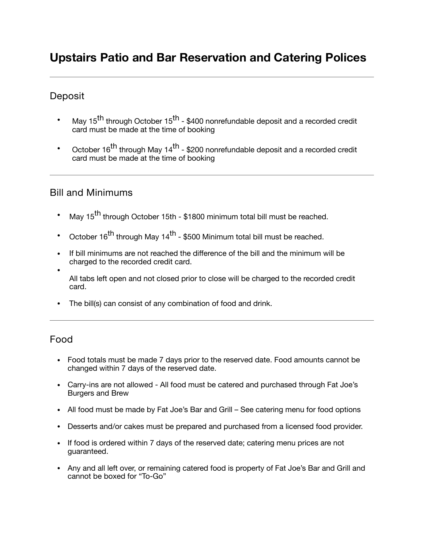# **Upstairs Patio and Bar Reservation and Catering Polices**

#### **Deposit**

- May 15<sup>th</sup> through October 15<sup>th</sup> \$400 nonrefundable deposit and a recorded credit card must be made at the time of booking
- October 16<sup>th</sup> through May 14<sup>th</sup> \$200 nonrefundable deposit and a recorded credit card must be made at the time of booking

#### Bill and Minimums

- May 15<sup>th</sup> through October 15th \$1800 minimum total bill must be reached.
- October 16<sup>th</sup> through May 14<sup>th</sup> \$500 Minimum total bill must be reached.
- If bill minimums are not reached the difference of the bill and the minimum will be charged to the recorded credit card.
- All tabs left open and not closed prior to close will be charged to the recorded credit card.
- The bill(s) can consist of any combination of food and drink.

#### Food

- Food totals must be made 7 days prior to the reserved date. Food amounts cannot be changed within 7 days of the reserved date.
- Carry-ins are not allowed All food must be catered and purchased through Fat Joe's Burgers and Brew
- All food must be made by Fat Joe's Bar and Grill See catering menu for food options
- Desserts and/or cakes must be prepared and purchased from a licensed food provider.
- If food is ordered within 7 days of the reserved date; catering menu prices are not guaranteed.
- Any and all left over, or remaining catered food is property of Fat Joe's Bar and Grill and cannot be boxed for "To-Go"